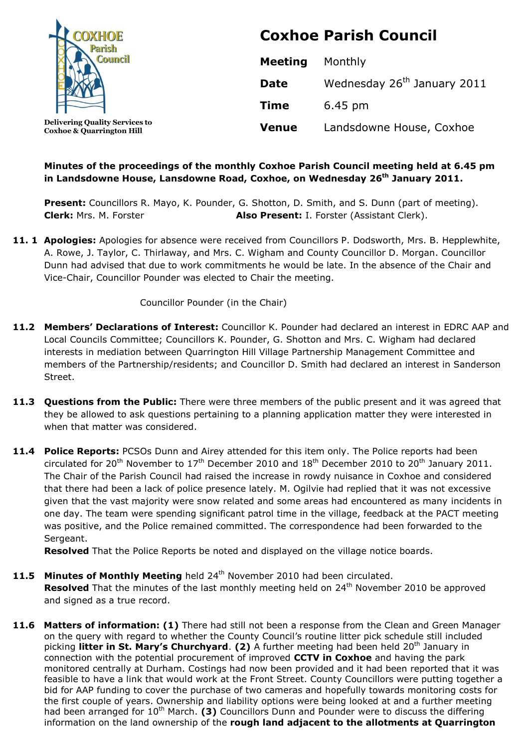

**Delivering Quality Services to Coxhoe & Quarrington Hill**

# **Coxhoe Parish Council**

| <b>Meeting</b> | Monthly                                 |
|----------------|-----------------------------------------|
| <b>Date</b>    | Wednesday 26 <sup>th</sup> January 2011 |
| <b>Time</b>    | $6.45 \text{ pm}$                       |
| <b>Venue</b>   | Landsdowne House, Coxhoe                |

# **Minutes of the proceedings of the monthly Coxhoe Parish Council meeting held at 6.45 pm in Landsdowne House, Lansdowne Road, Coxhoe, on Wednesday 26 th January 2011.**

Present: Councillors R. Mayo, K. Pounder, G. Shotton, D. Smith, and S. Dunn (part of meeting). **Clerk:** Mrs. M. Forster **Also Present:** I. Forster (Assistant Clerk).

**11. 1 Apologies:** Apologies for absence were received from Councillors P. Dodsworth, Mrs. B. Hepplewhite, A. Rowe, J. Taylor, C. Thirlaway, and Mrs. C. Wigham and County Councillor D. Morgan. Councillor Dunn had advised that due to work commitments he would be late. In the absence of the Chair and Vice-Chair, Councillor Pounder was elected to Chair the meeting.

Councillor Pounder (in the Chair)

- **11.2 Members' Declarations of Interest:** Councillor K. Pounder had declared an interest in EDRC AAP and Local Councils Committee; Councillors K. Pounder, G. Shotton and Mrs. C. Wigham had declared interests in mediation between Quarrington Hill Village Partnership Management Committee and members of the Partnership/residents; and Councillor D. Smith had declared an interest in Sanderson Street.
- **11.3 Questions from the Public:** There were three members of the public present and it was agreed that they be allowed to ask questions pertaining to a planning application matter they were interested in when that matter was considered.
- **11.4 Police Reports:** PCSOs Dunn and Airey attended for this item only. The Police reports had been circulated for 20<sup>th</sup> November to  $17<sup>th</sup>$  December 2010 and  $18<sup>th</sup>$  December 2010 to 20<sup>th</sup> January 2011. The Chair of the Parish Council had raised the increase in rowdy nuisance in Coxhoe and considered that there had been a lack of police presence lately. M. Ogilvie had replied that it was not excessive given that the vast majority were snow related and some areas had encountered as many incidents in one day. The team were spending significant patrol time in the village, feedback at the PACT meeting was positive, and the Police remained committed. The correspondence had been forwarded to the Sergeant.

**Resolved** That the Police Reports be noted and displayed on the village notice boards.

- 11.5 Minutes of Monthly Meeting held 24<sup>th</sup> November 2010 had been circulated. Resolved That the minutes of the last monthly meeting held on 24<sup>th</sup> November 2010 be approved and signed as a true record.
- **11.6 Matters of information: (1)** There had still not been a response from the Clean and Green Manager on the query with regard to whether the County Council's routine litter pick schedule still included picking **litter in St. Mary's Churchyard. (2)** A further meeting had been held 20<sup>th</sup> January in connection with the potential procurement of improved **CCTV in Coxhoe** and having the park monitored centrally at Durham. Costings had now been provided and it had been reported that it was feasible to have a link that would work at the Front Street. County Councillors were putting together a bid for AAP funding to cover the purchase of two cameras and hopefully towards monitoring costs for the first couple of years. Ownership and liability options were being looked at and a further meeting had been arranged for 10<sup>th</sup> March. **(3)** Councillors Dunn and Pounder were to discuss the differing information on the land ownership of the **rough land adjacent to the allotments at Quarrington**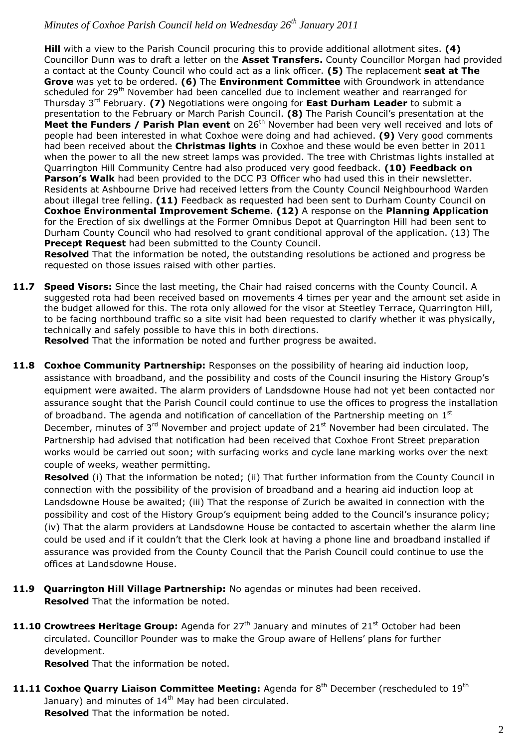**Hill** with a view to the Parish Council procuring this to provide additional allotment sites. **(4)** Councillor Dunn was to draft a letter on the **Asset Transfers.** County Councillor Morgan had provided a contact at the County Council who could act as a link officer. **(5)** The replacement **seat at The Grove** was yet to be ordered. **(6)** The **Environment Committee** with Groundwork in attendance scheduled for 29<sup>th</sup> November had been cancelled due to inclement weather and rearranged for Thursday 3rd February. **(7)** Negotiations were ongoing for **East Durham Leader** to submit a presentation to the February or March Parish Council. **(8)** The Parish Council's presentation at the **Meet the Funders / Parish Plan event** on 26<sup>th</sup> November had been very well received and lots of people had been interested in what Coxhoe were doing and had achieved. **(9)** Very good comments had been received about the **Christmas lights** in Coxhoe and these would be even better in 2011 when the power to all the new street lamps was provided. The tree with Christmas lights installed at Quarrington Hill Community Centre had also produced very good feedback. **(10) Feedback on Parson's Walk** had been provided to the DCC P3 Officer who had used this in their newsletter. Residents at Ashbourne Drive had received letters from the County Council Neighbourhood Warden about illegal tree felling. **(11)** Feedback as requested had been sent to Durham County Council on **Coxhoe Environmental Improvement Scheme**. **(12)** A response on the **Planning Application** for the Erection of six dwellings at the Former Omnibus Depot at Quarrington Hill had been sent to Durham County Council who had resolved to grant conditional approval of the application. (13) The **Precept Request** had been submitted to the County Council.

**Resolved** That the information be noted, the outstanding resolutions be actioned and progress be requested on those issues raised with other parties.

11.7 Speed Visors: Since the last meeting, the Chair had raised concerns with the County Council. A suggested rota had been received based on movements 4 times per year and the amount set aside in the budget allowed for this. The rota only allowed for the visor at Steetley Terrace, Quarrington Hill, to be facing northbound traffic so a site visit had been requested to clarify whether it was physically, technically and safely possible to have this in both directions.

**Resolved** That the information be noted and further progress be awaited.

11.8 Coxhoe Community Partnership: Responses on the possibility of hearing aid induction loop, assistance with broadband, and the possibility and costs of the Council insuring the History Group's equipment were awaited. The alarm providers of Landsdowne House had not yet been contacted nor assurance sought that the Parish Council could continue to use the offices to progress the installation of broadband. The agenda and notification of cancellation of the Partnership meeting on  $1<sup>st</sup>$ December, minutes of 3<sup>rd</sup> November and project update of 21<sup>st</sup> November had been circulated. The Partnership had advised that notification had been received that Coxhoe Front Street preparation works would be carried out soon; with surfacing works and cycle lane marking works over the next couple of weeks, weather permitting.

**Resolved** (i) That the information be noted; (ii) That further information from the County Council in connection with the possibility of the provision of broadband and a hearing aid induction loop at Landsdowne House be awaited; (iii) That the response of Zurich be awaited in connection with the possibility and cost of the History Group's equipment being added to the Council's insurance policy; (iv) That the alarm providers at Landsdowne House be contacted to ascertain whether the alarm line could be used and if it couldn't that the Clerk look at having a phone line and broadband installed if assurance was provided from the County Council that the Parish Council could continue to use the offices at Landsdowne House.

- **11.9 Quarrington Hill Village Partnership:** No agendas or minutes had been received. **Resolved** That the information be noted.
- **11.10 Crowtrees Heritage Group:** Agenda for 27<sup>th</sup> January and minutes of 21<sup>st</sup> October had been circulated. Councillor Pounder was to make the Group aware of Hellens' plans for further development.

**Resolved** That the information be noted.

11.11 Coxhoe Quarry Liaison Committee Meeting: Agenda for 8<sup>th</sup> December (rescheduled to 19<sup>th</sup> January) and minutes of  $14<sup>th</sup>$  May had been circulated. **Resolved** That the information be noted.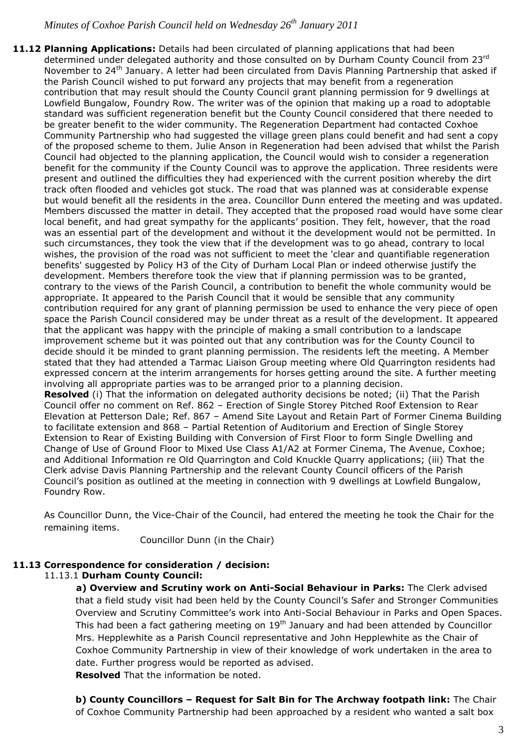**11.12 Planning Applications:** Details had been circulated of planning applications that had been determined under delegated authority and those consulted on by Durham County Council from 23rd November to 24<sup>th</sup> January. A letter had been circulated from Davis Planning Partnership that asked if the Parish Council wished to put forward any projects that may benefit from a regeneration contribution that may result should the County Council grant planning permission for 9 dwellings at Lowfield Bungalow, Foundry Row. The writer was of the opinion that making up a road to adoptable standard was sufficient regeneration benefit but the County Council considered that there needed to be greater benefit to the wider community. The Regeneration Department had contacted Coxhoe Community Partnership who had suggested the village green plans could benefit and had sent a copy of the proposed scheme to them. Julie Anson in Regeneration had been advised that whilst the Parish Council had objected to the planning application, the Council would wish to consider a regeneration benefit for the community if the County Council was to approve the application. Three residents were present and outlined the difficulties they had experienced with the current position whereby the dirt track often flooded and vehicles got stuck. The road that was planned was at considerable expense but would benefit all the residents in the area. Councillor Dunn entered the meeting and was updated. Members discussed the matter in detail. They accepted that the proposed road would have some clear local benefit, and had great sympathy for the applicants' position. They felt, however, that the road was an essential part of the development and without it the development would not be permitted. In such circumstances, they took the view that if the development was to go ahead, contrary to local wishes, the provision of the road was not sufficient to meet the 'clear and quantifiable regeneration benefits' suggested by Policy H3 of the City of Durham Local Plan or indeed otherwise justify the development. Members therefore took the view that if planning permission was to be granted, contrary to the views of the Parish Council, a contribution to benefit the whole community would be appropriate. It appeared to the Parish Council that it would be sensible that any community contribution required for any grant of planning permission be used to enhance the very piece of open space the Parish Council considered may be under threat as a result of the development. It appeared that the applicant was happy with the principle of making a small contribution to a landscape improvement scheme but it was pointed out that any contribution was for the County Council to decide should it be minded to grant planning permission. The residents left the meeting. A Member stated that they had attended a Tarmac Liaison Group meeting where Old Quarrington residents had expressed concern at the interim arrangements for horses getting around the site. A further meeting involving all appropriate parties was to be arranged prior to a planning decision. **Resolved** (i) That the information on delegated authority decisions be noted; (ii) That the Parish Council offer no comment on Ref. 862 – Erection of Single Storey Pitched Roof Extension to Rear Elevation at Petterson Dale; Ref. 867 – Amend Site Layout and Retain Part of Former Cinema Building to facilitate extension and 868 – Partial Retention of Auditorium and Erection of Single Storey Extension to Rear of Existing Building with Conversion of First Floor to form Single Dwelling and Change of Use of Ground Floor to Mixed Use Class A1/A2 at Former Cinema, The Avenue, Coxhoe; and Additional Information re Old Quarrington and Cold Knuckle Quarry applications; (iii) That the Clerk advise Davis Planning Partnership and the relevant County Council officers of the Parish Council's position as outlined at the meeting in connection with 9 dwellings at Lowfield Bungalow, Foundry Row.

As Councillor Dunn, the Vice-Chair of the Council, had entered the meeting he took the Chair for the remaining items.

Councillor Dunn (in the Chair)

#### **11.13 Correspondence for consideration / decision:**

11.13.1 **Durham County Council:**

**a) Overview and Scrutiny work on Anti-Social Behaviour in Parks:** The Clerk advised that a field study visit had been held by the County Council's Safer and Stronger Communities Overview and Scrutiny Committee's work into Anti-Social Behaviour in Parks and Open Spaces. This had been a fact gathering meeting on  $19<sup>th</sup>$  January and had been attended by Councillor Mrs. Hepplewhite as a Parish Council representative and John Hepplewhite as the Chair of Coxhoe Community Partnership in view of their knowledge of work undertaken in the area to date. Further progress would be reported as advised. **Resolved** That the information be noted.

**b) County Councillors – Request for Salt Bin for The Archway footpath link:** The Chair of Coxhoe Community Partnership had been approached by a resident who wanted a salt box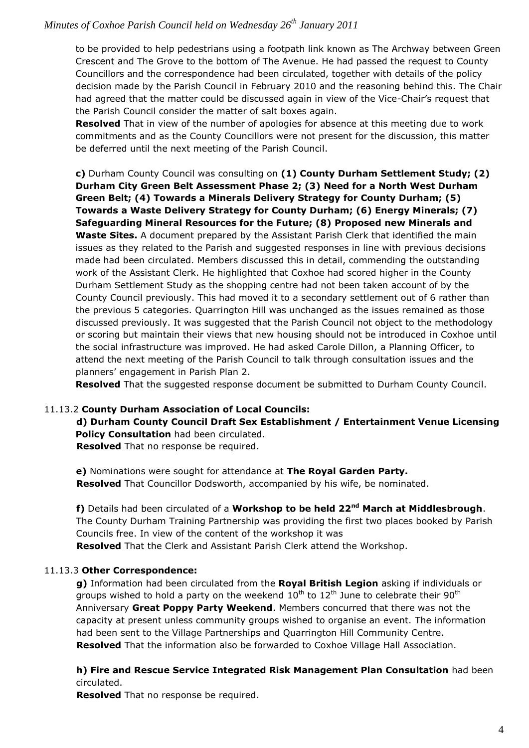to be provided to help pedestrians using a footpath link known as The Archway between Green Crescent and The Grove to the bottom of The Avenue. He had passed the request to County Councillors and the correspondence had been circulated, together with details of the policy decision made by the Parish Council in February 2010 and the reasoning behind this. The Chair had agreed that the matter could be discussed again in view of the Vice-Chair's request that the Parish Council consider the matter of salt boxes again.

**Resolved** That in view of the number of apologies for absence at this meeting due to work commitments and as the County Councillors were not present for the discussion, this matter be deferred until the next meeting of the Parish Council.

**c)** Durham County Council was consulting on **(1) County Durham Settlement Study; (2) Durham City Green Belt Assessment Phase 2; (3) Need for a North West Durham Green Belt; (4) Towards a Minerals Delivery Strategy for County Durham; (5) Towards a Waste Delivery Strategy for County Durham; (6) Energy Minerals; (7) Safeguarding Mineral Resources for the Future; (8) Proposed new Minerals and Waste Sites.** A document prepared by the Assistant Parish Clerk that identified the main issues as they related to the Parish and suggested responses in line with previous decisions made had been circulated. Members discussed this in detail, commending the outstanding work of the Assistant Clerk. He highlighted that Coxhoe had scored higher in the County Durham Settlement Study as the shopping centre had not been taken account of by the County Council previously. This had moved it to a secondary settlement out of 6 rather than the previous 5 categories. Quarrington Hill was unchanged as the issues remained as those discussed previously. It was suggested that the Parish Council not object to the methodology or scoring but maintain their views that new housing should not be introduced in Coxhoe until the social infrastructure was improved. He had asked Carole Dillon, a Planning Officer, to attend the next meeting of the Parish Council to talk through consultation issues and the planners' engagement in Parish Plan 2.

**Resolved** That the suggested response document be submitted to Durham County Council.

#### 11.13.2 **County Durham Association of Local Councils:**

**d) Durham County Council Draft Sex Establishment / Entertainment Venue Licensing Policy Consultation** had been circulated. **Resolved** That no response be required.

**e)** Nominations were sought for attendance at **The Royal Garden Party. Resolved** That Councillor Dodsworth, accompanied by his wife, be nominated.

**f)** Details had been circulated of a **Workshop to be held 22nd March at Middlesbrough**. The County Durham Training Partnership was providing the first two places booked by Parish Councils free. In view of the content of the workshop it was **Resolved** That the Clerk and Assistant Parish Clerk attend the Workshop.

#### 11.13.3 **Other Correspondence:**

**g)** Information had been circulated from the **Royal British Legion** asking if individuals or groups wished to hold a party on the weekend  $10^{th}$  to  $12^{th}$  June to celebrate their 90<sup>th</sup> Anniversary **Great Poppy Party Weekend**. Members concurred that there was not the capacity at present unless community groups wished to organise an event. The information had been sent to the Village Partnerships and Quarrington Hill Community Centre. **Resolved** That the information also be forwarded to Coxhoe Village Hall Association.

**h) Fire and Rescue Service Integrated Risk Management Plan Consultation** had been circulated.

**Resolved** That no response be required.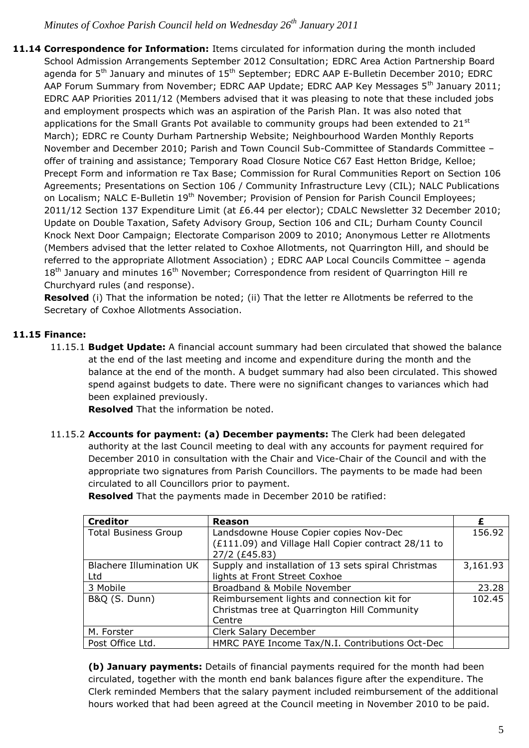**11.14 Correspondence for Information:** Items circulated for information during the month included School Admission Arrangements September 2012 Consultation; EDRC Area Action Partnership Board agenda for 5<sup>th</sup> January and minutes of 15<sup>th</sup> September; EDRC AAP E-Bulletin December 2010; EDRC AAP Forum Summary from November; EDRC AAP Update; EDRC AAP Key Messages 5<sup>th</sup> January 2011; EDRC AAP Priorities 2011/12 (Members advised that it was pleasing to note that these included jobs and employment prospects which was an aspiration of the Parish Plan. It was also noted that applications for the Small Grants Pot available to community groups had been extended to  $21^{st}$ March); EDRC re County Durham Partnership Website; Neighbourhood Warden Monthly Reports November and December 2010; Parish and Town Council Sub-Committee of Standards Committee – offer of training and assistance; Temporary Road Closure Notice C67 East Hetton Bridge, Kelloe; Precept Form and information re Tax Base; Commission for Rural Communities Report on Section 106 Agreements; Presentations on Section 106 / Community Infrastructure Levy (CIL); NALC Publications on Localism; NALC E-Bulletin 19<sup>th</sup> November; Provision of Pension for Parish Council Employees; 2011/12 Section 137 Expenditure Limit (at £6.44 per elector); CDALC Newsletter 32 December 2010; Update on Double Taxation, Safety Advisory Group, Section 106 and CIL; Durham County Council Knock Next Door Campaign; Electorate Comparison 2009 to 2010; Anonymous Letter re Allotments (Members advised that the letter related to Coxhoe Allotments, not Quarrington Hill, and should be referred to the appropriate Allotment Association) ; EDRC AAP Local Councils Committee – agenda  $18<sup>th</sup>$  January and minutes  $16<sup>th</sup>$  November; Correspondence from resident of Quarrington Hill re Churchyard rules (and response).

**Resolved** (i) That the information be noted; (ii) That the letter re Allotments be referred to the Secretary of Coxhoe Allotments Association.

# **11.15 Finance:**

11.15.1 **Budget Update:** A financial account summary had been circulated that showed the balance at the end of the last meeting and income and expenditure during the month and the balance at the end of the month. A budget summary had also been circulated. This showed spend against budgets to date. There were no significant changes to variances which had been explained previously.

**Resolved** That the information be noted.

11.15.2 **Accounts for payment: (a) December payments:** The Clerk had been delegated authority at the last Council meeting to deal with any accounts for payment required for December 2010 in consultation with the Chair and Vice-Chair of the Council and with the appropriate two signatures from Parish Councillors. The payments to be made had been circulated to all Councillors prior to payment.

| <b>Creditor</b>             | <b>Reason</b>                                                        |          |
|-----------------------------|----------------------------------------------------------------------|----------|
| <b>Total Business Group</b> | Landsdowne House Copier copies Nov-Dec                               | 156.92   |
|                             | (£111.09) and Village Hall Copier contract 28/11 to<br>27/2 (£45.83) |          |
| Blachere Illumination UK    | Supply and installation of 13 sets spiral Christmas                  | 3,161.93 |
| Ltd                         | lights at Front Street Coxhoe                                        |          |
| 3 Mobile                    | Broadband & Mobile November                                          | 23.28    |
| <b>B&amp;Q (S. Dunn)</b>    | Reimbursement lights and connection kit for                          | 102.45   |
|                             | Christmas tree at Quarrington Hill Community                         |          |
|                             | Centre                                                               |          |
| M. Forster                  | Clerk Salary December                                                |          |
| Post Office Ltd.            | HMRC PAYE Income Tax/N.I. Contributions Oct-Dec                      |          |

**Resolved** That the payments made in December 2010 be ratified:

**(b) January payments:** Details of financial payments required for the month had been circulated, together with the month end bank balances figure after the expenditure. The Clerk reminded Members that the salary payment included reimbursement of the additional hours worked that had been agreed at the Council meeting in November 2010 to be paid.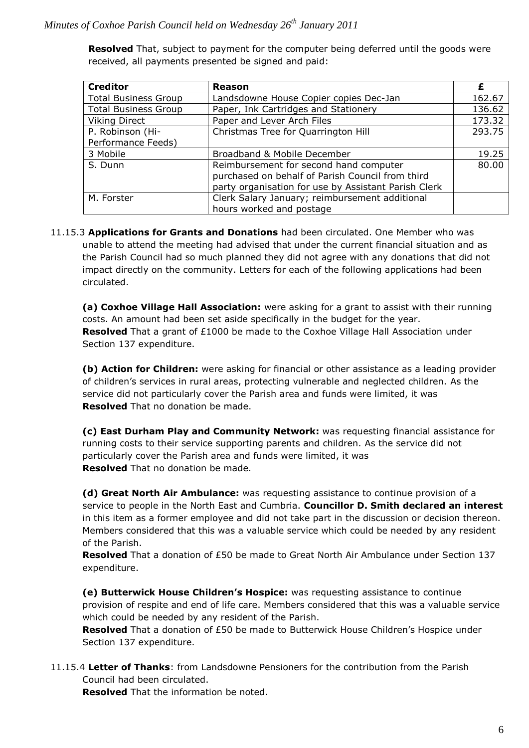**Resolved** That, subject to payment for the computer being deferred until the goods were received, all payments presented be signed and paid:

| <b>Creditor</b>             | <b>Reason</b>                                        | £      |
|-----------------------------|------------------------------------------------------|--------|
| <b>Total Business Group</b> | Landsdowne House Copier copies Dec-Jan               | 162.67 |
| <b>Total Business Group</b> | Paper, Ink Cartridges and Stationery                 | 136.62 |
| <b>Viking Direct</b>        | Paper and Lever Arch Files                           | 173.32 |
| P. Robinson (Hi-            | Christmas Tree for Quarrington Hill                  | 293.75 |
| Performance Feeds)          |                                                      |        |
| 3 Mobile                    | Broadband & Mobile December                          | 19.25  |
| S. Dunn                     | Reimbursement for second hand computer               | 80.00  |
|                             | purchased on behalf of Parish Council from third     |        |
|                             | party organisation for use by Assistant Parish Clerk |        |
| M. Forster                  | Clerk Salary January; reimbursement additional       |        |
|                             | hours worked and postage                             |        |

11.15.3 **Applications for Grants and Donations** had been circulated. One Member who was unable to attend the meeting had advised that under the current financial situation and as the Parish Council had so much planned they did not agree with any donations that did not impact directly on the community. Letters for each of the following applications had been circulated.

**(a) Coxhoe Village Hall Association:** were asking for a grant to assist with their running costs. An amount had been set aside specifically in the budget for the year. **Resolved** That a grant of £1000 be made to the Coxhoe Village Hall Association under Section 137 expenditure.

**(b) Action for Children:** were asking for financial or other assistance as a leading provider of children's services in rural areas, protecting vulnerable and neglected children. As the service did not particularly cover the Parish area and funds were limited, it was **Resolved** That no donation be made.

**(c) East Durham Play and Community Network:** was requesting financial assistance for running costs to their service supporting parents and children. As the service did not particularly cover the Parish area and funds were limited, it was **Resolved** That no donation be made.

**(d) Great North Air Ambulance:** was requesting assistance to continue provision of a service to people in the North East and Cumbria. **Councillor D. Smith declared an interest** in this item as a former employee and did not take part in the discussion or decision thereon. Members considered that this was a valuable service which could be needed by any resident of the Parish.

**Resolved** That a donation of £50 be made to Great North Air Ambulance under Section 137 expenditure.

**(e) Butterwick House Children's Hospice:** was requesting assistance to continue provision of respite and end of life care. Members considered that this was a valuable service which could be needed by any resident of the Parish.

**Resolved** That a donation of £50 be made to Butterwick House Children's Hospice under Section 137 expenditure.

11.15.4 **Letter of Thanks**: from Landsdowne Pensioners for the contribution from the Parish Council had been circulated.

**Resolved** That the information be noted.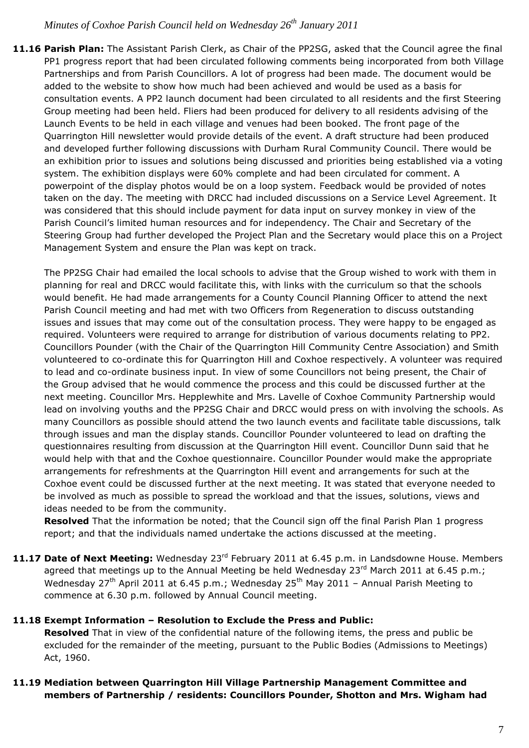**11.16 Parish Plan:** The Assistant Parish Clerk, as Chair of the PP2SG, asked that the Council agree the final PP1 progress report that had been circulated following comments being incorporated from both Village Partnerships and from Parish Councillors. A lot of progress had been made. The document would be added to the website to show how much had been achieved and would be used as a basis for consultation events. A PP2 launch document had been circulated to all residents and the first Steering Group meeting had been held. Fliers had been produced for delivery to all residents advising of the Launch Events to be held in each village and venues had been booked. The front page of the Quarrington Hill newsletter would provide details of the event. A draft structure had been produced and developed further following discussions with Durham Rural Community Council. There would be an exhibition prior to issues and solutions being discussed and priorities being established via a voting system. The exhibition displays were 60% complete and had been circulated for comment. A powerpoint of the display photos would be on a loop system. Feedback would be provided of notes taken on the day. The meeting with DRCC had included discussions on a Service Level Agreement. It was considered that this should include payment for data input on survey monkey in view of the Parish Council's limited human resources and for independency. The Chair and Secretary of the Steering Group had further developed the Project Plan and the Secretary would place this on a Project Management System and ensure the Plan was kept on track.

The PP2SG Chair had emailed the local schools to advise that the Group wished to work with them in planning for real and DRCC would facilitate this, with links with the curriculum so that the schools would benefit. He had made arrangements for a County Council Planning Officer to attend the next Parish Council meeting and had met with two Officers from Regeneration to discuss outstanding issues and issues that may come out of the consultation process. They were happy to be engaged as required. Volunteers were required to arrange for distribution of various documents relating to PP2. Councillors Pounder (with the Chair of the Quarrington Hill Community Centre Association) and Smith volunteered to co-ordinate this for Quarrington Hill and Coxhoe respectively. A volunteer was required to lead and co-ordinate business input. In view of some Councillors not being present, the Chair of the Group advised that he would commence the process and this could be discussed further at the next meeting. Councillor Mrs. Hepplewhite and Mrs. Lavelle of Coxhoe Community Partnership would lead on involving youths and the PP2SG Chair and DRCC would press on with involving the schools. As many Councillors as possible should attend the two launch events and facilitate table discussions, talk through issues and man the display stands. Councillor Pounder volunteered to lead on drafting the questionnaires resulting from discussion at the Quarrington Hill event. Councillor Dunn said that he would help with that and the Coxhoe questionnaire. Councillor Pounder would make the appropriate arrangements for refreshments at the Quarrington Hill event and arrangements for such at the Coxhoe event could be discussed further at the next meeting. It was stated that everyone needed to be involved as much as possible to spread the workload and that the issues, solutions, views and ideas needed to be from the community.

**Resolved** That the information be noted; that the Council sign off the final Parish Plan 1 progress report; and that the individuals named undertake the actions discussed at the meeting.

11.17 Date of Next Meeting: Wednesday 23<sup>rd</sup> February 2011 at 6.45 p.m. in Landsdowne House. Members agreed that meetings up to the Annual Meeting be held Wednesday  $23^{rd}$  March 2011 at 6.45 p.m.; Wednesday 27<sup>th</sup> April 2011 at 6.45 p.m.; Wednesday 25<sup>th</sup> May 2011 – Annual Parish Meeting to commence at 6.30 p.m. followed by Annual Council meeting.

#### **11.18 Exempt Information – Resolution to Exclude the Press and Public:**

**Resolved** That in view of the confidential nature of the following items, the press and public be excluded for the remainder of the meeting, pursuant to the Public Bodies (Admissions to Meetings) Act, 1960.

## **11.19 Mediation between Quarrington Hill Village Partnership Management Committee and members of Partnership / residents: Councillors Pounder, Shotton and Mrs. Wigham had**